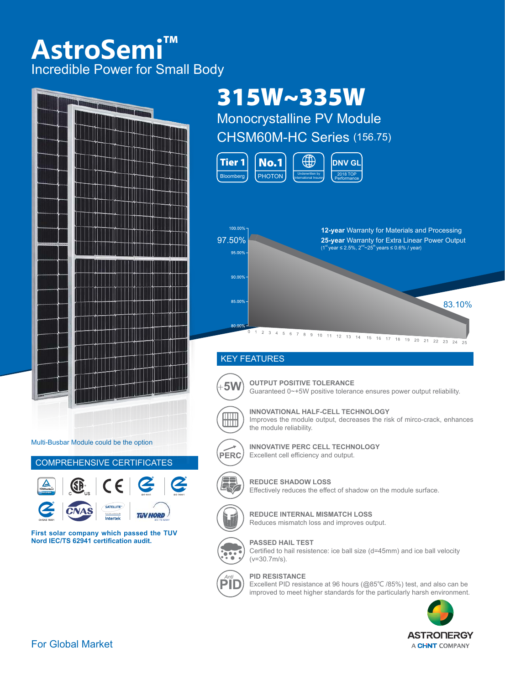# **AstroSemi™** Incredible Power for Small Body



Multi-Busbar Module could be the option



**First solar company which passed the TUV Nord IEC/TS 62941 certification audit.** 

# 315W~335W

Monocrystalline PV Module CHSM60M-HC Series (156.75)





### KEY FEATURES



+**5W OUTPUT POSITIVE TOLERANCE** Guaranteed 0~+5W positive tolerance ensures power output reliability.



**INNOVATIONAL HALF-CELL TECHNOLOGY** Improves the module output, decreases the risk of mirco-crack, enhances the module reliability.



**INNOVATIVE PERC CELL TECHNOLOGY** Excellent cell efficiency and output.



**REDUCE SHADOW LOSS**





**REDUCE INTERNAL MISMATCH LOSS**





**PASSED HAIL TEST**





#### **PID RESISTANCE**

Excellent PID resistance at 96 hours (@85℃ /85%) test, and also can be improved to meet higher standards for the particularly harsh environment.